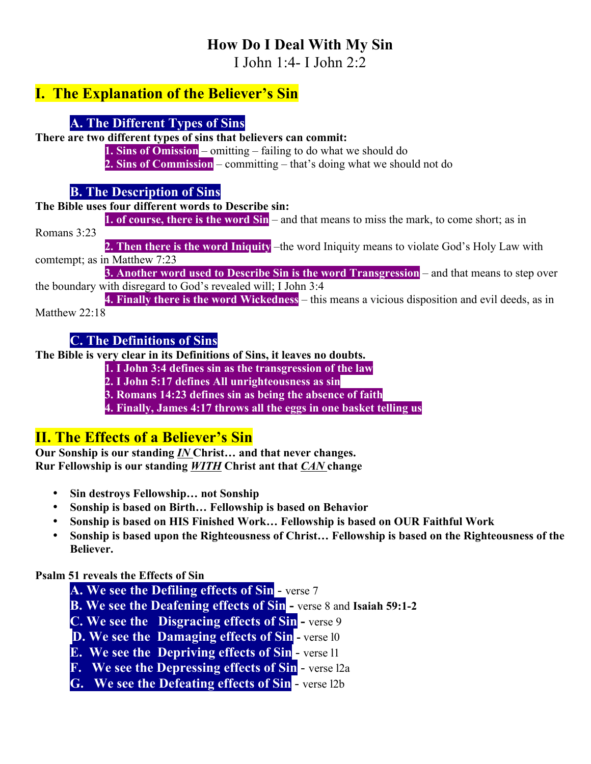# **How Do I Deal With My Sin**

I John 1:4- I John 2:2

## **I. The Explanation of the Believer's Sin**

### **A. The Different Types of Sins**

**There are two different types of sins that believers can commit:**

**1. Sins of Omission** – omitting – failing to do what we should do **2. Sins of Commission** – committing – that's doing what we should not do

#### **B. The Description of Sins**

**The Bible uses four different words to Describe sin:**

**1. of course, there is the word Sin** – and that means to miss the mark, to come short; as in Romans 3:23

**2. Then there is the word Iniquity** –the word Iniquity means to violate God's Holy Law with comtempt; as in Matthew 7:23

**3. Another word used to Describe Sin is the word Transgression** – and that means to step over the boundary with disregard to God's revealed will; I John 3:4

**4. Finally there is the word Wickedness** – this means a vicious disposition and evil deeds, as in Matthew 22:18

#### **C. The Definitions of Sins**

**The Bible is very clear in its Definitions of Sins, it leaves no doubts.**

**1. I John 3:4 defines sin as the transgression of the law**

**2. I John 5:17 defines All unrighteousness as sin**

**3. Romans 14:23 defines sin as being the absence of faith**

**4. Finally, James 4:17 throws all the eggs in one basket telling us**

# **II. The Effects of a Believer's Sin**

**Our Sonship is our standing** *IN* **Christ… and that never changes. Rur Fellowship is our standing** *WITH* **Christ ant that** *CAN* **change**

- **Sin destroys Fellowship… not Sonship**
- **Sonship is based on Birth… Fellowship is based on Behavior**
- **Sonship is based on HIS Finished Work… Fellowship is based on OUR Faithful Work**
- **Sonship is based upon the Righteousness of Christ… Fellowship is based on the Righteousness of the Believer.**

#### **Psalm 51 reveals the Effects of Sin**

- **A. We see the Defiling effects of Sin** verse 7
- **B. We see the Deafening effects of Sin -** verse 8 and **Isaiah 59:1-2**
- **C. We see the Disgracing effects of Sin -** verse 9
- **D. We see the Damaging effects of Sin -** verse l0
- **E. We see the Depriving effects of Sin** verse l1
- **F. We see the Depressing effects of Sin** verse l2a

**G. We see the Defeating effects of Sin** - verse l2b